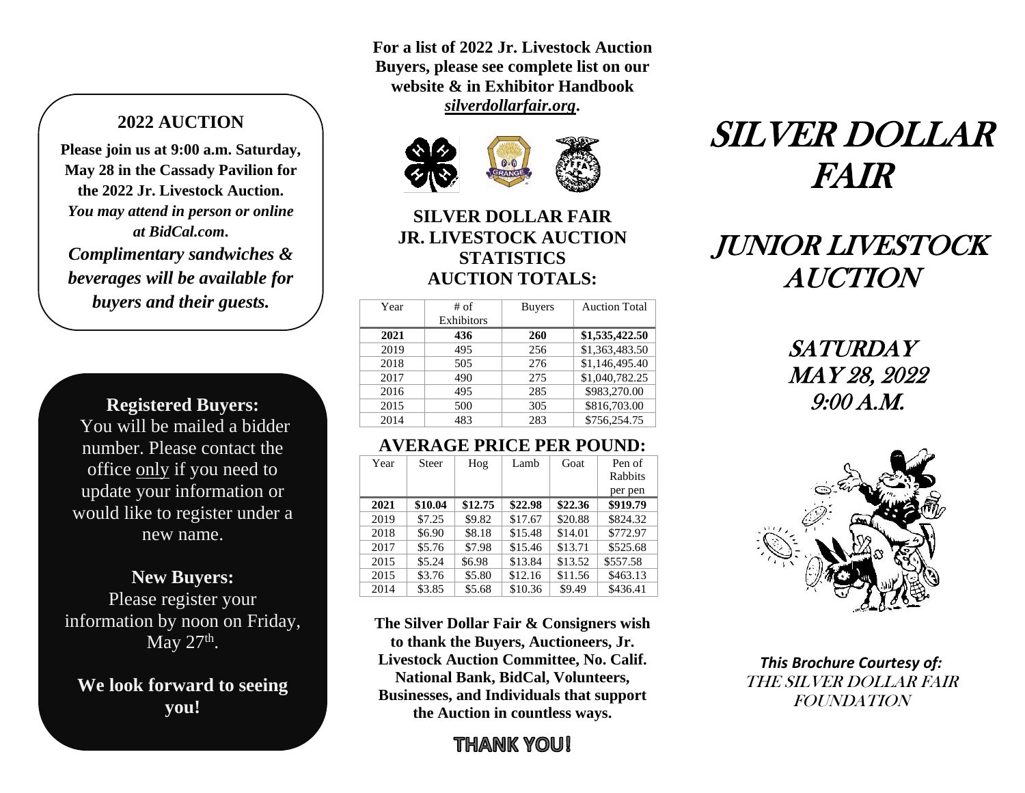### **2022 AUCTION**

**Please join us at 9:00 a.m. Saturday, May 28 in the Cassady Pavilion for the 2022 Jr. Livestock Auction.**  *You may attend in person or online at BidCal.com***.** *Complimentary sandwiches & beverages will be available for buyers and their guests.*

**Registered Buyers:** You will be mailed a bidder number. Please contact the office only if you need to update your information or would like to register under a new name.

**New Buyers:** Please register your information by noon on Friday, May  $27<sup>th</sup>$ .

**We look forward to seeing you!**

**For a list of 2022 Jr. Livestock Auction Buyers, please see complete list on our website & in Exhibitor Handbook**  *silverdollarfair.org***.**





## **SILVER DOLLAR FAIR JR. LIVESTOCK AUCTION STATISTICS AUCTION TOTALS:**

| Year | # of       | <b>Buyers</b> | <b>Auction Total</b> |
|------|------------|---------------|----------------------|
|      | Exhibitors |               |                      |
| 2021 | 436        | 260           | \$1,535,422.50       |
| 2019 | 495        | 256           | \$1,363,483.50       |
| 2018 | 505        | 276           | \$1,146,495.40       |
| 2017 | 490        | 275           | \$1,040,782.25       |
| 2016 | 495        | 285           | \$983,270.00         |
| 2015 | 500        | 305           | \$816,703.00         |
| 2014 | 483        | 283           | \$756,254.75         |

## **AVERAGE PRICE PER POUND:**

| Year | <b>Steer</b> | Hog     | Lamb    | Goat    | Pen of   |
|------|--------------|---------|---------|---------|----------|
|      |              |         |         |         | Rabbits  |
|      |              |         |         |         | per pen  |
| 2021 | \$10.04      | \$12.75 | \$22.98 | \$22.36 | \$919.79 |
| 2019 | \$7.25       | \$9.82  | \$17.67 | \$20.88 | \$824.32 |
| 2018 | \$6.90       | \$8.18  | \$15.48 | \$14.01 | \$772.97 |
| 2017 | \$5.76       | \$7.98  | \$15.46 | \$13.71 | \$525.68 |
| 2015 | \$5.24       | \$6.98  | \$13.84 | \$13.52 | \$557.58 |
| 2015 | \$3.76       | \$5.80  | \$12.16 | \$11.56 | \$463.13 |
| 2014 | \$3.85       | \$5.68  | \$10.36 | \$9.49  | \$436.41 |

**The Silver Dollar Fair & Consigners wish to thank the Buyers, Auctioneers, Jr. Livestock Auction Committee, No. Calif. National Bank, BidCal, Volunteers, Businesses, and Individuals that support the Auction in countless ways.**

# THANK YOU!

# SILVER DOLLAR FAIR

# JUNIOR LIVESTOCK AUCTION

SATURDAY MAY 28, 2022 9:00 A.M.



*This Brochure Courtesy of:* THE SILVER DOLLAR FAIR FOUNDATION